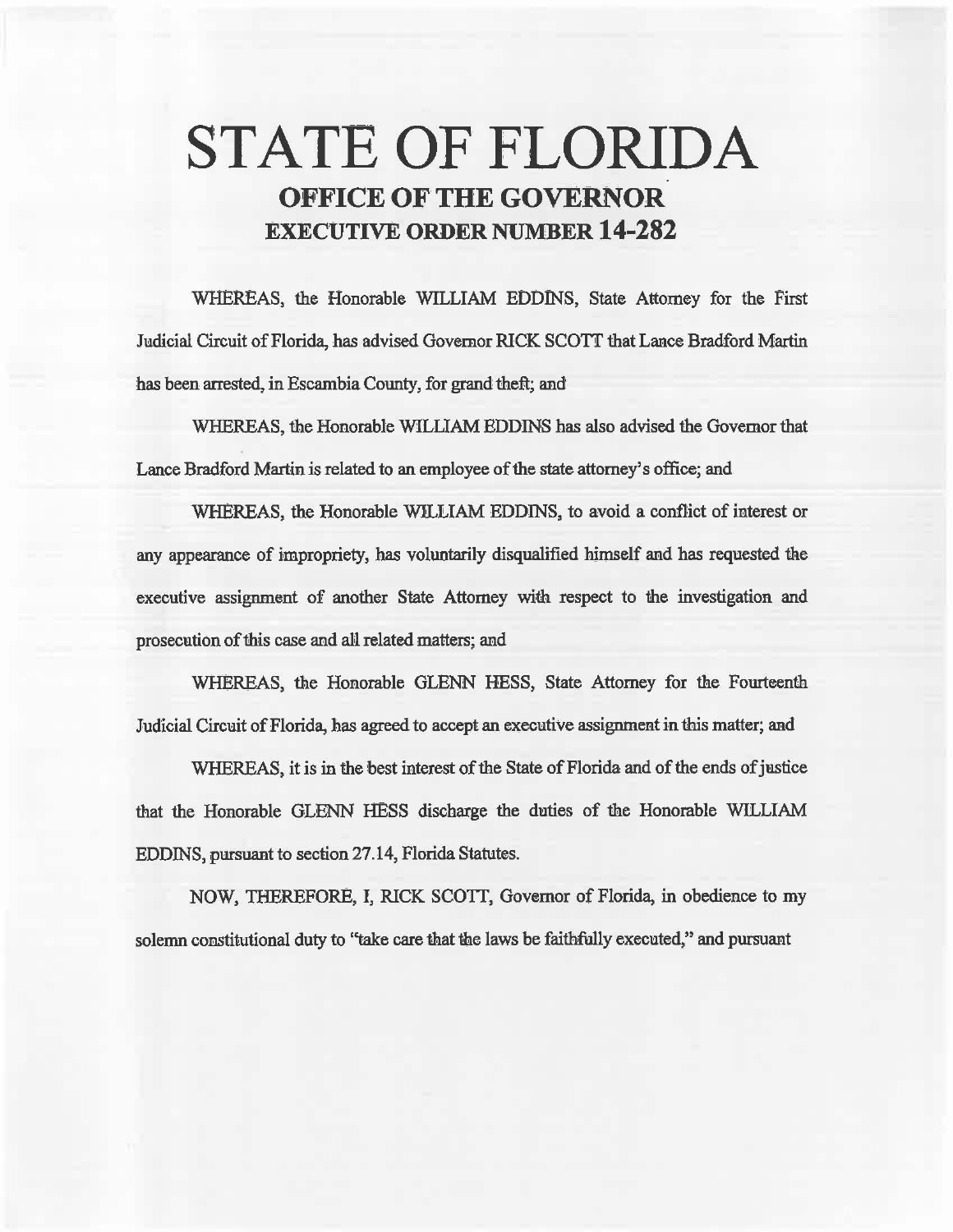# STATE OF FLORIDA OFFICE OF THE GOVERNOR EXECUTIVE ORDER NUMBER 14-282

WHEREAS, the Honorable WILLIAM EDDINS, State Attorney for the First Judicial Circuit of Florida, has advised Governor RICK SCOTT that Lance Bradford Martin has been arrested, in Escambia County, for grand theft; and

WHEREAS, the Honorable WILLIAM EDDINS has also advised the Govemor that Lance Bradford Martin is related to an employee of the state attorney's office; and

WHEREAS, the Honorable WILLIAM EDDINS, to avoid a conflict of interest or any appearance of impropriety, has voluntarily disqualified himself and has requested the executive assignment of another State Attorney with respect to the investigation and prosecution of this case and all. related matters; and

WHEREAS, the Honorable GLENN HESS, State Attorney for the Fourteenth Judicial Circuit of Florida, has agreed to accept an executive assignment in this matter; and

WHEREAS, it is in the best interest of the State of Florida and of the ends of justice that the Honorable GLENN HESS discharge the duties of the Honorable WILLIAM EDDINS, pursuant to section 27.14, Florida Statutes.

NOW, THEREFORE, I, RICK SCOTI, Governor of Florida, in obedience to my solemn constitutional duty to "take care that the laws be faithfully executed," and pursuant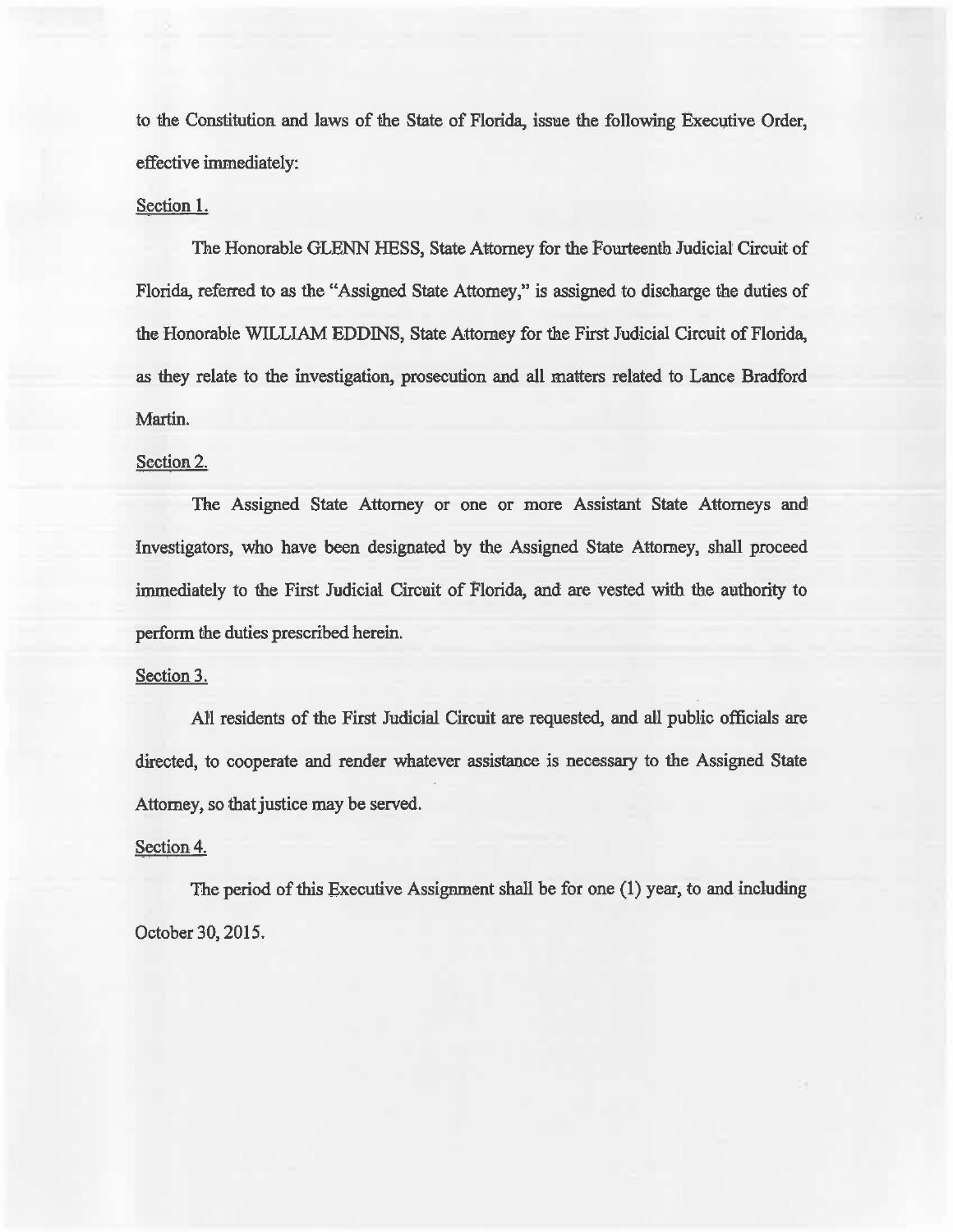to the Constitution and laws of the State of Florida, issue the following Executive Order, effective immediately:

## Section 1.

The Honorable GLENN HESS, State Attorney for the Fourteenth. Judicial Circuit of Florida, referred to as the "Assigned State Attorney,'' is assigned to discharge the duties of the Honorable WILLIAM EDDINS, State Attorney for the First Judicial Circuit of Florida, as they relate to the investigation, prosecution and all matters related to Lance Bradford Martin.

## Section 2.

The Assigned State Attorney or one or more Assistant State Attorneys and Investigators, who have been designated by the Assigned State Attorney, shall proceed immediately to the First Judicial Circuit of Florida, and are vested with the authority to perform the duties prescribed herein.

### Section 3.

All residents of the First Judicial Circuit are requested, and all public officials are directed, to cooperate and render whatever assistance is necessary to the Assigned State Attorney, so that justice may be served.

### Section 4.

The period of this Executive Assignment shall be for one (1) year, to and including October 30, 2015.